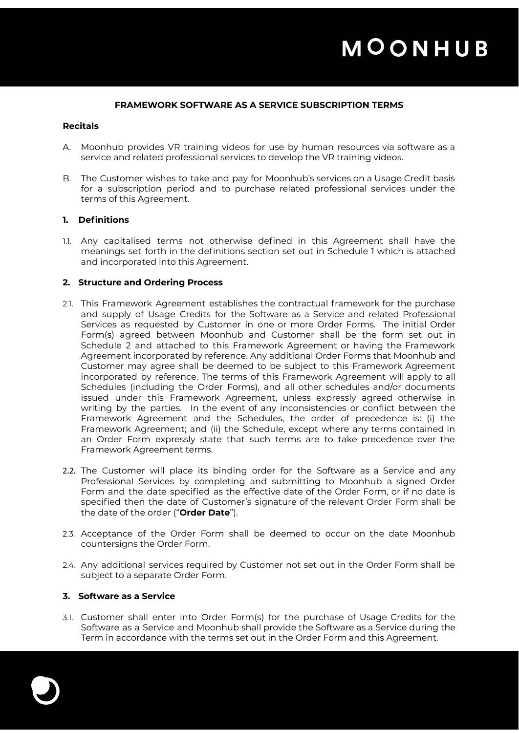#### **FRAMEWORK SOFTWARE AS A SERVICE SUBSCRIPTION TERMS**

#### **Recitals**

- A. Moonhub provides VR training videos for use by human resources via software as a service and related professional services to develop the VR training videos.
- B. The Customer wishes to take and pay for Moonhub's services on a Usage Credit basis for a subscription period and to purchase related professional services under the terms of this Agreement.

### **1. Definitions**

1.1. Any capitalised terms not otherwise defined in this Agreement shall have the meanings set forth in the definitions section set out in Schedule 1 which is attached and incorporated into this Agreement.

#### **2. Structure and Ordering Process**

- 2.1. This Framework Agreement establishes the contractual framework for the purchase and supply of Usage Credits for the Software as a Service and related Professional Services as requested by Customer in one or more Order Forms. The initial Order Form(s) agreed between Moonhub and Customer shall be the form set out in Schedule 2 and attached to this Framework Agreement or having the Framework Agreement incorporated by reference. Any additional Order Forms that Moonhub and Customer may agree shall be deemed to be subject to this Framework Agreement incorporated by reference. The terms of this Framework Agreement will apply to all Schedules (including the Order Forms), and all other schedules and/or documents issued under this Framework Agreement, unless expressly agreed otherwise in writing by the parties. In the event of any inconsistencies or conflict between the Framework Agreement and the Schedules, the order of precedence is: (i) the Framework Agreement; and (ii) the Schedule, except where any terms contained in an Order Form expressly state that such terms are to take precedence over the Framework Agreement terms.
- 2.2. The Customer will place its binding order for the Software as a Service and any Professional Services by completing and submitting to Moonhub a signed Order Form and the date specified as the effective date of the Order Form, or if no date is specified then the date of Customer's signature of the relevant Order Form shall be the date of the order ("**Order Date**").
- 2.3. Acceptance of the Order Form shall be deemed to occur on the date Moonhub countersigns the Order Form.
- 2.4. Any additional services required by Customer not set out in the Order Form shall be subject to a separate Order Form.

### **3. Software as a Service**

3.1. Customer shall enter into Order Form(s) for the purchase of Usage Credits for the Software as a Service and Moonhub shall provide the Software as a Service during the Term in accordance with the terms set out in the Order Form and this Agreement.

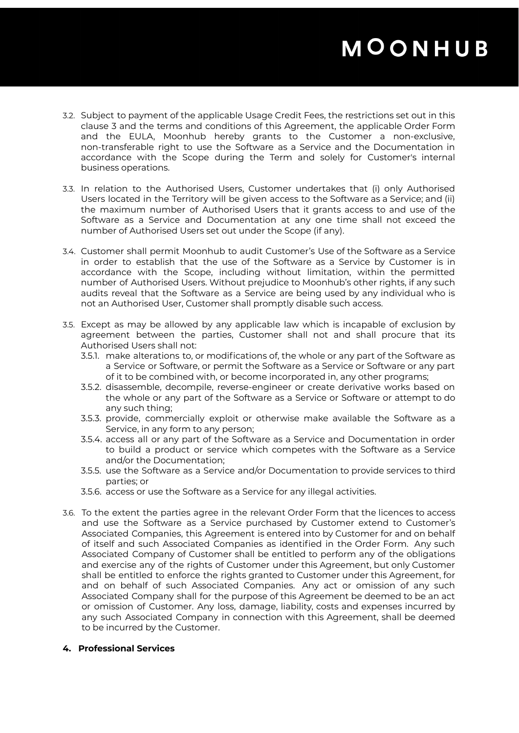- 3.2. Subject to payment of the applicable Usage Credit Fees, the restrictions set out in this clause 3 and the terms and conditions of this Agreement, the applicable Order Form and the EULA, Moonhub hereby grants to the Customer a non-exclusive, non-transferable right to use the Software as a Service and the Documentation in accordance with the Scope during the Term and solely for Customer's internal business operations.
- 3.3. In relation to the Authorised Users, Customer undertakes that (i) only Authorised Users located in the Territory will be given access to the Software as a Service; and (ii) the maximum number of Authorised Users that it grants access to and use of the Software as a Service and Documentation at any one time shall not exceed the number of Authorised Users set out under the Scope (if any).
- 3.4. Customer shall permit Moonhub to audit Customer's Use of the Software as a Service in order to establish that the use of the Software as a Service by Customer is in accordance with the Scope, including without limitation, within the permitted number of Authorised Users. Without prejudice to Moonhub's other rights, if any such audits reveal that the Software as a Service are being used by any individual who is not an Authorised User, Customer shall promptly disable such access.
- 3.5. Except as may be allowed by any applicable law which is incapable of exclusion by agreement between the parties, Customer shall not and shall procure that its Authorised Users shall not:
	- 3.5.1. make alterations to, or modifications of, the whole or any part of the Software as a Service or Software, or permit the Software as a Service or Software or any part of it to be combined with, or become incorporated in, any other programs;
	- 3.5.2. disassemble, decompile, reverse-engineer or create derivative works based on the whole or any part of the Software as a Service or Software or attempt to do any such thing;
	- 3.5.3. provide, commercially exploit or otherwise make available the Software as a Service, in any form to any person;
	- 3.5.4. access all or any part of the Software as a Service and Documentation in order to build a product or service which competes with the Software as a Service and/or the Documentation;
	- 3.5.5. use the Software as a Service and/or Documentation to provide services to third parties; or
	- 3.5.6. access or use the Software as a Service for any illegal activities.
- 3.6. To the extent the parties agree in the relevant Order Form that the licences to access and use the Software as a Service purchased by Customer extend to Customer's Associated Companies, this Agreement is entered into by Customer for and on behalf of itself and such Associated Companies as identified in the Order Form. Any such Associated Company of Customer shall be entitled to perform any of the obligations and exercise any of the rights of Customer under this Agreement, but only Customer shall be entitled to enforce the rights granted to Customer under this Agreement, for and on behalf of such Associated Companies. Any act or omission of any such Associated Company shall for the purpose of this Agreement be deemed to be an act or omission of Customer. Any loss, damage, liability, costs and expenses incurred by any such Associated Company in connection with this Agreement, shall be deemed to be incurred by the Customer.
- **4. Professional Services**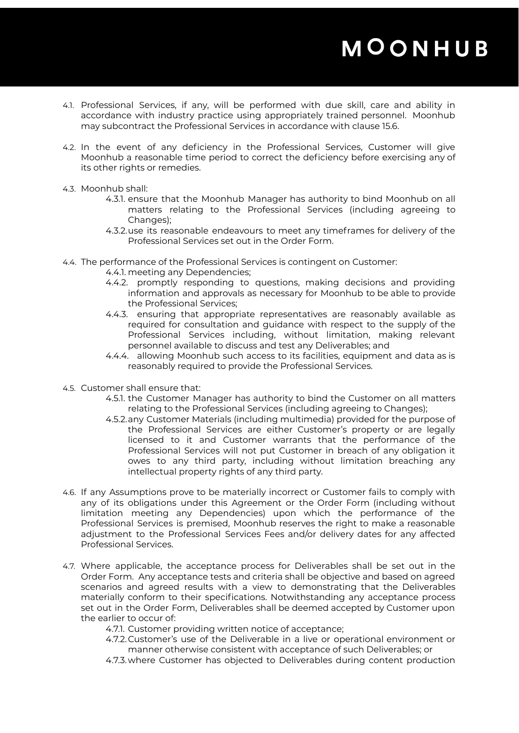- 4.1. Professional Services, if any, will be performed with due skill, care and ability in accordance with industry practice using appropriately trained personnel. Moonhub may subcontract the Professional Services in accordance with clause 15.6.
- 4.2. In the event of any deficiency in the Professional Services, Customer will give Moonhub a reasonable time period to correct the deficiency before exercising any of its other rights or remedies.
- 4.3. Moonhub shall:
	- 4.3.1. ensure that the Moonhub Manager has authority to bind Moonhub on all matters relating to the Professional Services (including agreeing to Changes);
	- 4.3.2.use its reasonable endeavours to meet any timeframes for delivery of the Professional Services set out in the Order Form.
- 4.4. The performance of the Professional Services is contingent on Customer:
	- 4.4.1. meeting any Dependencies;
	- 4.4.2. promptly responding to questions, making decisions and providing information and approvals as necessary for Moonhub to be able to provide the Professional Services;
	- 4.4.3. ensuring that appropriate representatives are reasonably available as required for consultation and guidance with respect to the supply of the Professional Services including, without limitation, making relevant personnel available to discuss and test any Deliverables; and
	- 4.4.4. allowing Moonhub such access to its facilities, equipment and data as is reasonably required to provide the Professional Services.
- 4.5. Customer shall ensure that:
	- 4.5.1. the Customer Manager has authority to bind the Customer on all matters relating to the Professional Services (including agreeing to Changes);
	- 4.5.2.any Customer Materials (including multimedia) provided for the purpose of the Professional Services are either Customer's property or are legally licensed to it and Customer warrants that the performance of the Professional Services will not put Customer in breach of any obligation it owes to any third party, including without limitation breaching any intellectual property rights of any third party.
- 4.6. If any Assumptions prove to be materially incorrect or Customer fails to comply with any of its obligations under this Agreement or the Order Form (including without limitation meeting any Dependencies) upon which the performance of the Professional Services is premised, Moonhub reserves the right to make a reasonable adjustment to the Professional Services Fees and/or delivery dates for any affected Professional Services.
- 4.7. Where applicable, the acceptance process for Deliverables shall be set out in the Order Form. Any acceptance tests and criteria shall be objective and based on agreed scenarios and agreed results with a view to demonstrating that the Deliverables materially conform to their specifications. Notwithstanding any acceptance process set out in the Order Form, Deliverables shall be deemed accepted by Customer upon the earlier to occur of:
	- 4.7.1. Customer providing written notice of acceptance;
	- 4.7.2.Customer's use of the Deliverable in a live or operational environment or manner otherwise consistent with acceptance of such Deliverables; or
	- 4.7.3.where Customer has objected to Deliverables during content production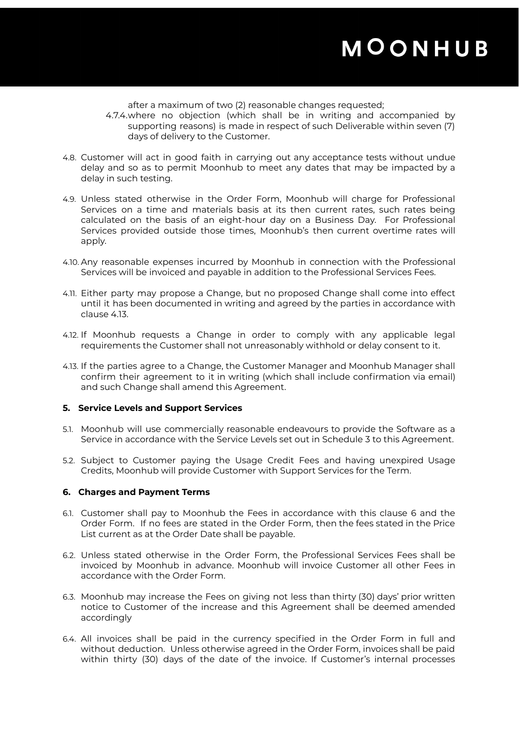after a maximum of two (2) reasonable changes requested;

- 4.7.4.where no objection (which shall be in writing and accompanied by supporting reasons) is made in respect of such Deliverable within seven (7) days of delivery to the Customer.
- 4.8. Customer will act in good faith in carrying out any acceptance tests without undue delay and so as to permit Moonhub to meet any dates that may be impacted by a delay in such testing.
- 4.9. Unless stated otherwise in the Order Form, Moonhub will charge for Professional Services on a time and materials basis at its then current rates, such rates being calculated on the basis of an eight-hour day on a Business Day. For Professional Services provided outside those times, Moonhub's then current overtime rates will apply.
- 4.10. Any reasonable expenses incurred by Moonhub in connection with the Professional Services will be invoiced and payable in addition to the Professional Services Fees.
- 4.11. Either party may propose a Change, but no proposed Change shall come into effect until it has been documented in writing and agreed by the parties in accordance with clause 4.13.
- 4.12. If Moonhub requests a Change in order to comply with any applicable legal requirements the Customer shall not unreasonably withhold or delay consent to it.
- 4.13. If the parties agree to a Change, the Customer Manager and Moonhub Manager shall confirm their agreement to it in writing (which shall include confirmation via email) and such Change shall amend this Agreement.

### **5. Service Levels and Support Services**

- 5.1. Moonhub will use commercially reasonable endeavours to provide the Software as a Service in accordance with the Service Levels set out in Schedule 3 to this Agreement.
- 5.2. Subject to Customer paying the Usage Credit Fees and having unexpired Usage Credits, Moonhub will provide Customer with Support Services for the Term.

#### **6. Charges and Payment Terms**

- 6.1. Customer shall pay to Moonhub the Fees in accordance with this clause 6 and the Order Form. If no fees are stated in the Order Form, then the fees stated in the Price List current as at the Order Date shall be payable.
- 6.2. Unless stated otherwise in the Order Form, the Professional Services Fees shall be invoiced by Moonhub in advance. Moonhub will invoice Customer all other Fees in accordance with the Order Form.
- 6.3. Moonhub may increase the Fees on giving not less than thirty (30) days' prior written notice to Customer of the increase and this Agreement shall be deemed amended accordingly
- 6.4. All invoices shall be paid in the currency specified in the Order Form in full and without deduction. Unless otherwise agreed in the Order Form, invoices shall be paid within thirty (30) days of the date of the invoice. If Customer's internal processes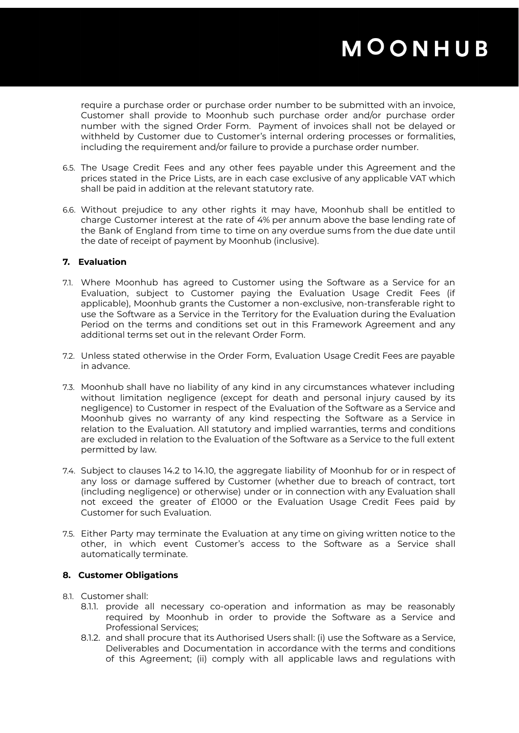require a purchase order or purchase order number to be submitted with an invoice, Customer shall provide to Moonhub such purchase order and/or purchase order number with the signed Order Form. Payment of invoices shall not be delayed or withheld by Customer due to Customer's internal ordering processes or formalities, including the requirement and/or failure to provide a purchase order number.

- 6.5. The Usage Credit Fees and any other fees payable under this Agreement and the prices stated in the Price Lists, are in each case exclusive of any applicable VAT which shall be paid in addition at the relevant statutory rate.
- 6.6. Without prejudice to any other rights it may have, Moonhub shall be entitled to charge Customer interest at the rate of 4% per annum above the base lending rate of the Bank of England from time to time on any overdue sums from the due date until the date of receipt of payment by Moonhub (inclusive).

### **7. Evaluation**

- 7.1. Where Moonhub has agreed to Customer using the Software as a Service for an Evaluation, subject to Customer paying the Evaluation Usage Credit Fees (if applicable), Moonhub grants the Customer a non-exclusive, non-transferable right to use the Software as a Service in the Territory for the Evaluation during the Evaluation Period on the terms and conditions set out in this Framework Agreement and any additional terms set out in the relevant Order Form.
- 7.2. Unless stated otherwise in the Order Form, Evaluation Usage Credit Fees are payable in advance.
- 7.3. Moonhub shall have no liability of any kind in any circumstances whatever including without limitation negligence (except for death and personal injury caused by its negligence) to Customer in respect of the Evaluation of the Software as a Service and Moonhub gives no warranty of any kind respecting the Software as a Service in relation to the Evaluation. All statutory and implied warranties, terms and conditions are excluded in relation to the Evaluation of the Software as a Service to the full extent permitted by law.
- 7.4. Subject to clauses 14.2 to 14.10, the aggregate liability of Moonhub for or in respect of any loss or damage suffered by Customer (whether due to breach of contract, tort (including negligence) or otherwise) under or in connection with any Evaluation shall not exceed the greater of £1000 or the Evaluation Usage Credit Fees paid by Customer for such Evaluation.
- 7.5. Either Party may terminate the Evaluation at any time on giving written notice to the other, in which event Customer's access to the Software as a Service shall automatically terminate.

### **8. Customer Obligations**

- 8.1. Customer shall:
	- 8.1.1. provide all necessary co-operation and information as may be reasonably required by Moonhub in order to provide the Software as a Service and Professional Services;
	- 8.1.2. and shall procure that its Authorised Users shall: (i) use the Software as a Service, Deliverables and Documentation in accordance with the terms and conditions of this Agreement; (ii) comply with all applicable laws and regulations with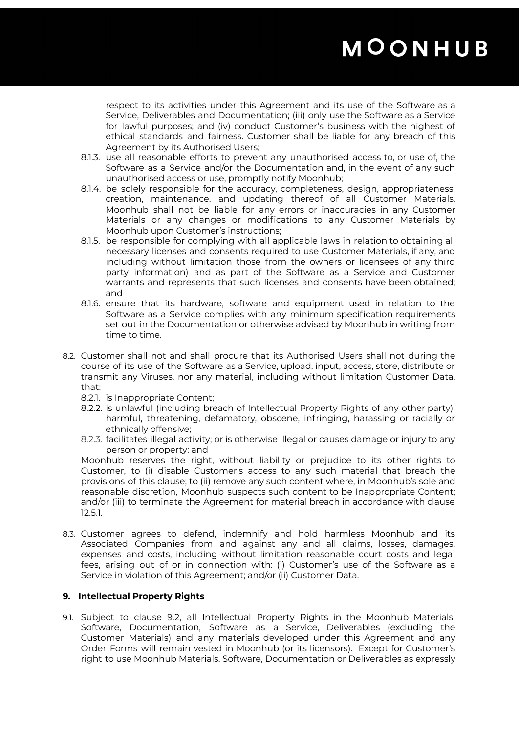respect to its activities under this Agreement and its use of the Software as a Service, Deliverables and Documentation; (iii) only use the Software as a Service for lawful purposes; and (iv) conduct Customer's business with the highest of ethical standards and fairness. Customer shall be liable for any breach of this Agreement by its Authorised Users;

- 8.1.3. use all reasonable efforts to prevent any unauthorised access to, or use of, the Software as a Service and/or the Documentation and, in the event of any such unauthorised access or use, promptly notify Moonhub;
- 8.1.4. be solely responsible for the accuracy, completeness, design, appropriateness, creation, maintenance, and updating thereof of all Customer Materials. Moonhub shall not be liable for any errors or inaccuracies in any Customer Materials or any changes or modifications to any Customer Materials by Moonhub upon Customer's instructions;
- 8.1.5. be responsible for complying with all applicable laws in relation to obtaining all necessary licenses and consents required to use Customer Materials, if any, and including without limitation those from the owners or licensees of any third party information) and as part of the Software as a Service and Customer warrants and represents that such licenses and consents have been obtained; and
- 8.1.6. ensure that its hardware, software and equipment used in relation to the Software as a Service complies with any minimum specification requirements set out in the Documentation or otherwise advised by Moonhub in writing from time to time.
- 8.2. Customer shall not and shall procure that its Authorised Users shall not during the course of its use of the Software as a Service, upload, input, access, store, distribute or transmit any Viruses, nor any material, including without limitation Customer Data, that:
	- 8.2.1. is Inappropriate Content;
	- 8.2.2. is unlawful (including breach of Intellectual Property Rights of any other party), harmful, threatening, defamatory, obscene, infringing, harassing or racially or ethnically offensive;
	- 8.2.3. facilitates illegal activity; or is otherwise illegal or causes damage or injury to any person or property; and

Moonhub reserves the right, without liability or prejudice to its other rights to Customer, to (i) disable Customer's access to any such material that breach the provisions of this clause; to (ii) remove any such content where, in Moonhub's sole and reasonable discretion, Moonhub suspects such content to be Inappropriate Content; and/or (iii) to terminate the Agreement for material breach in accordance with clause 12.5.1.

8.3. Customer agrees to defend, indemnify and hold harmless Moonhub and its Associated Companies from and against any and all claims, losses, damages, expenses and costs, including without limitation reasonable court costs and legal fees, arising out of or in connection with: (i) Customer's use of the Software as a Service in violation of this Agreement; and/or (ii) Customer Data.

### **9. Intellectual Property Rights**

9.1. Subject to clause 9.2, all Intellectual Property Rights in the Moonhub Materials, Software, Documentation, Software as a Service, Deliverables (excluding the Customer Materials) and any materials developed under this Agreement and any Order Forms will remain vested in Moonhub (or its licensors). Except for Customer's right to use Moonhub Materials, Software, Documentation or Deliverables as expressly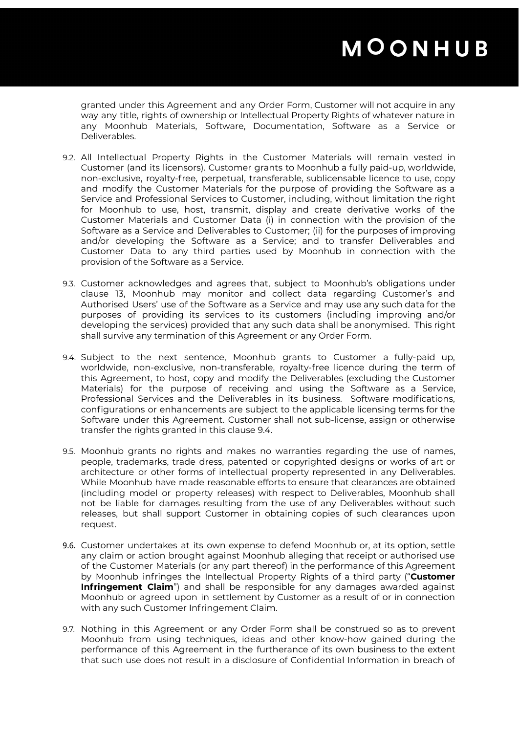granted under this Agreement and any Order Form, Customer will not acquire in any way any title, rights of ownership or Intellectual Property Rights of whatever nature in any Moonhub Materials, Software, Documentation, Software as a Service or Deliverables.

- 9.2. All Intellectual Property Rights in the Customer Materials will remain vested in Customer (and its licensors). Customer grants to Moonhub a fully paid-up, worldwide, non-exclusive, royalty-free, perpetual, transferable, sublicensable licence to use, copy and modify the Customer Materials for the purpose of providing the Software as a Service and Professional Services to Customer, including, without limitation the right for Moonhub to use, host, transmit, display and create derivative works of the Customer Materials and Customer Data (i) in connection with the provision of the Software as a Service and Deliverables to Customer; (ii) for the purposes of improving and/or developing the Software as a Service; and to transfer Deliverables and Customer Data to any third parties used by Moonhub in connection with the provision of the Software as a Service.
- 9.3. Customer acknowledges and agrees that, subject to Moonhub's obligations under clause 13, Moonhub may monitor and collect data regarding Customer's and Authorised Users' use of the Software as a Service and may use any such data for the purposes of providing its services to its customers (including improving and/or developing the services) provided that any such data shall be anonymised. This right shall survive any termination of this Agreement or any Order Form.
- 9.4. Subject to the next sentence, Moonhub grants to Customer a fully-paid up, worldwide, non-exclusive, non-transferable, royalty-free licence during the term of this Agreement, to host, copy and modify the Deliverables (excluding the Customer Materials) for the purpose of receiving and using the Software as a Service, Professional Services and the Deliverables in its business. Software modifications, configurations or enhancements are subject to the applicable licensing terms for the Software under this Agreement. Customer shall not sub-license, assign or otherwise transfer the rights granted in this clause 9.4.
- 9.5. Moonhub grants no rights and makes no warranties regarding the use of names, people, trademarks, trade dress, patented or copyrighted designs or works of art or architecture or other forms of intellectual property represented in any Deliverables. While Moonhub have made reasonable efforts to ensure that clearances are obtained (including model or property releases) with respect to Deliverables, Moonhub shall not be liable for damages resulting from the use of any Deliverables without such releases, but shall support Customer in obtaining copies of such clearances upon request.
- 9.6. Customer undertakes at its own expense to defend Moonhub or, at its option, settle any claim or action brought against Moonhub alleging that receipt or authorised use of the Customer Materials (or any part thereof) in the performance of this Agreement by Moonhub infringes the Intellectual Property Rights of a third party ("**Customer Infringement Claim**") and shall be responsible for any damages awarded against Moonhub or agreed upon in settlement by Customer as a result of or in connection with any such Customer Infringement Claim.
- 9.7. Nothing in this Agreement or any Order Form shall be construed so as to prevent Moonhub from using techniques, ideas and other know-how gained during the performance of this Agreement in the furtherance of its own business to the extent that such use does not result in a disclosure of Confidential Information in breach of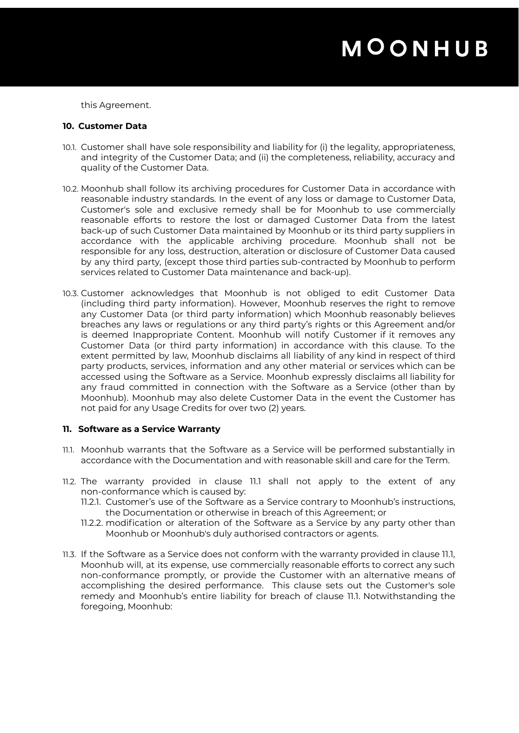this Agreement.

#### **10. Customer Data**

- 10.1. Customer shall have sole responsibility and liability for (i) the legality, appropriateness, and integrity of the Customer Data; and (ii) the completeness, reliability, accuracy and quality of the Customer Data.
- 10.2. Moonhub shall follow its archiving procedures for Customer Data in accordance with reasonable industry standards. In the event of any loss or damage to Customer Data, Customer's sole and exclusive remedy shall be for Moonhub to use commercially reasonable efforts to restore the lost or damaged Customer Data from the latest back-up of such Customer Data maintained by Moonhub or its third party suppliers in accordance with the applicable archiving procedure. Moonhub shall not be responsible for any loss, destruction, alteration or disclosure of Customer Data caused by any third party, (except those third parties sub-contracted by Moonhub to perform services related to Customer Data maintenance and back-up).
- 10.3. Customer acknowledges that Moonhub is not obliged to edit Customer Data (including third party information). However, Moonhub reserves the right to remove any Customer Data (or third party information) which Moonhub reasonably believes breaches any laws or regulations or any third party's rights or this Agreement and/or is deemed Inappropriate Content. Moonhub will notify Customer if it removes any Customer Data (or third party information) in accordance with this clause. To the extent permitted by law, Moonhub disclaims all liability of any kind in respect of third party products, services, information and any other material or services which can be accessed using the Software as a Service. Moonhub expressly disclaims all liability for any fraud committed in connection with the Software as a Service (other than by Moonhub). Moonhub may also delete Customer Data in the event the Customer has not paid for any Usage Credits for over two (2) years.

### **11. Software as a Service Warranty**

- 11.1. Moonhub warrants that the Software as a Service will be performed substantially in accordance with the Documentation and with reasonable skill and care for the Term.
- 11.2. The warranty provided in clause 11.1 shall not apply to the extent of any non-conformance which is caused by:
	- 11.2.1. Customer's use of the Software as a Service contrary to Moonhub's instructions, the Documentation or otherwise in breach of this Agreement; or
	- 11.2.2. modification or alteration of the Software as a Service by any party other than Moonhub or Moonhub's duly authorised contractors or agents.
- 11.3. If the Software as a Service does not conform with the warranty provided in clause 11.1, Moonhub will, at its expense, use commercially reasonable efforts to correct any such non-conformance promptly, or provide the Customer with an alternative means of accomplishing the desired performance. This clause sets out the Customer's sole remedy and Moonhub's entire liability for breach of clause 11.1. Notwithstanding the foregoing, Moonhub: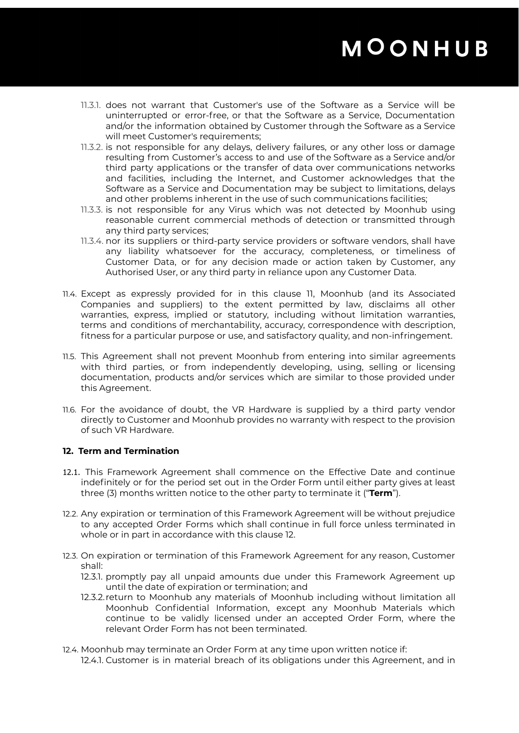- 11.3.1. does not warrant that Customer's use of the Software as a Service will be uninterrupted or error-free, or that the Software as a Service, Documentation and/or the information obtained by Customer through the Software as a Service will meet Customer's requirements;
- 11.3.2. is not responsible for any delays, delivery failures, or any other loss or damage resulting from Customer's access to and use of the Software as a Service and/or third party applications or the transfer of data over communications networks and facilities, including the Internet, and Customer acknowledges that the Software as a Service and Documentation may be subject to limitations, delays and other problems inherent in the use of such communications facilities;
- 11.3.3. is not responsible for any Virus which was not detected by Moonhub using reasonable current commercial methods of detection or transmitted through any third party services;
- 11.3.4. nor its suppliers or third-party service providers or software vendors, shall have any liability whatsoever for the accuracy, completeness, or timeliness of Customer Data, or for any decision made or action taken by Customer, any Authorised User, or any third party in reliance upon any Customer Data.
- 11.4. Except as expressly provided for in this clause 11, Moonhub (and its Associated Companies and suppliers) to the extent permitted by law, disclaims all other warranties, express, implied or statutory, including without limitation warranties, terms and conditions of merchantability, accuracy, correspondence with description, fitness for a particular purpose or use, and satisfactory quality, and non-infringement.
- 11.5. This Agreement shall not prevent Moonhub from entering into similar agreements with third parties, or from independently developing, using, selling or licensing documentation, products and/or services which are similar to those provided under this Agreement.
- 11.6. For the avoidance of doubt, the VR Hardware is supplied by a third party vendor directly to Customer and Moonhub provides no warranty with respect to the provision of such VR Hardware.

### **12. Term and Termination**

- 12.1. This Framework Agreement shall commence on the Effective Date and continue indefinitely or for the period set out in the Order Form until either party gives at least three (3) months written notice to the other party to terminate it ("**Term**").
- 12.2. Any expiration or termination of this Framework Agreement will be without prejudice to any accepted Order Forms which shall continue in full force unless terminated in whole or in part in accordance with this clause 12.
- 12.3. On expiration or termination of this Framework Agreement for any reason, Customer shall:
	- 12.3.1. promptly pay all unpaid amounts due under this Framework Agreement up until the date of expiration or termination; and
	- 12.3.2. return to Moonhub any materials of Moonhub including without limitation all Moonhub Confidential Information, except any Moonhub Materials which continue to be validly licensed under an accepted Order Form, where the relevant Order Form has not been terminated.
- 12.4. Moonhub may terminate an Order Form at any time upon written notice if: 12.4.1. Customer is in material breach of its obligations under this Agreement, and in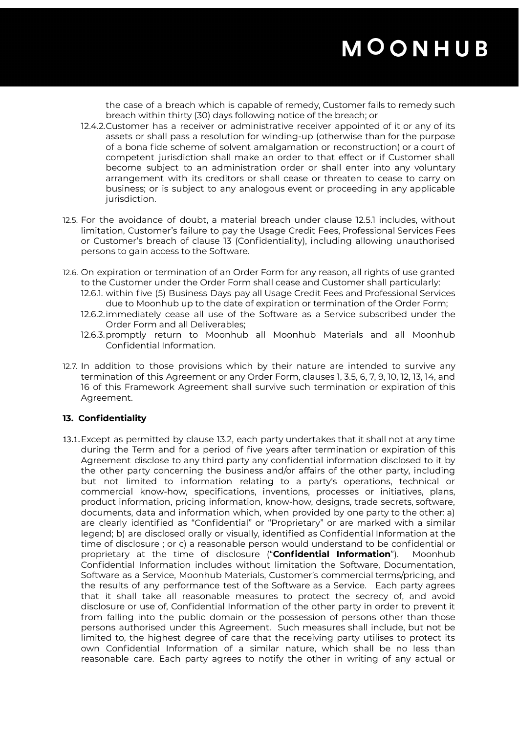the case of a breach which is capable of remedy, Customer fails to remedy such breach within thirty (30) days following notice of the breach; or

- 12.4.2.Customer has a receiver or administrative receiver appointed of it or any of its assets or shall pass a resolution for winding-up (otherwise than for the purpose of a bona fide scheme of solvent amalgamation or reconstruction) or a court of competent jurisdiction shall make an order to that effect or if Customer shall become subject to an administration order or shall enter into any voluntary arrangement with its creditors or shall cease or threaten to cease to carry on business; or is subject to any analogous event or proceeding in any applicable jurisdiction.
- 12.5. For the avoidance of doubt, a material breach under clause 12.5.1 includes, without limitation, Customer's failure to pay the Usage Credit Fees, Professional Services Fees or Customer's breach of clause 13 (Confidentiality), including allowing unauthorised persons to gain access to the Software.
- 12.6. On expiration or termination of an Order Form for any reason, all rights of use granted to the Customer under the Order Form shall cease and Customer shall particularly:
	- 12.6.1. within five (5) Business Days pay all Usage Credit Fees and Professional Services due to Moonhub up to the date of expiration or termination of the Order Form;
	- 12.6.2.immediately cease all use of the Software as a Service subscribed under the Order Form and all Deliverables;
	- 12.6.3.promptly return to Moonhub all Moonhub Materials and all Moonhub Confidential Information.
- 12.7. In addition to those provisions which by their nature are intended to survive any termination of this Agreement or any Order Form, clauses 1, 3.5, 6, 7, 9, 10, 12, 13, 14, and 16 of this Framework Agreement shall survive such termination or expiration of this Agreement.

### **13. Confidentiality**

13.1.Except as permitted by clause 13.2, each party undertakes that it shall not at any time during the Term and for a period of five years after termination or expiration of this Agreement disclose to any third party any confidential information disclosed to it by the other party concerning the business and/or affairs of the other party, including but not limited to information relating to a party's operations, technical or commercial know-how, specifications, inventions, processes or initiatives, plans, product information, pricing information, know-how, designs, trade secrets, software, documents, data and information which, when provided by one party to the other: a) are clearly identified as "Confidential" or "Proprietary" or are marked with a similar legend; b) are disclosed orally or visually, identified as Confidential Information at the time of disclosure ; or c) a reasonable person would understand to be confidential or proprietary at the time of disclosure ("**Confidential Information**"). Moonhub Confidential Information includes without limitation the Software, Documentation, Software as a Service, Moonhub Materials, Customer's commercial terms/pricing, and the results of any performance test of the Software as a Service. Each party agrees that it shall take all reasonable measures to protect the secrecy of, and avoid disclosure or use of, Confidential Information of the other party in order to prevent it from falling into the public domain or the possession of persons other than those persons authorised under this Agreement. Such measures shall include, but not be limited to, the highest degree of care that the receiving party utilises to protect its own Confidential Information of a similar nature, which shall be no less than reasonable care. Each party agrees to notify the other in writing of any actual or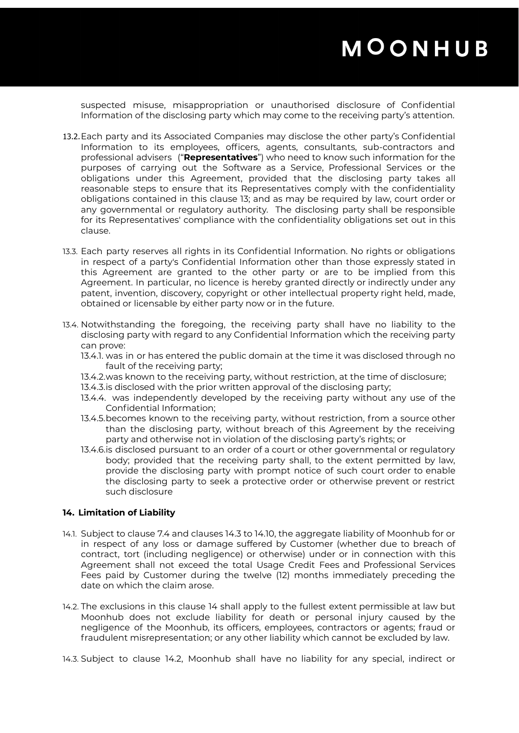suspected misuse, misappropriation or unauthorised disclosure of Confidential Information of the disclosing party which may come to the receiving party's attention.

- 13.2.Each party and its Associated Companies may disclose the other party's Confidential Information to its employees, officers, agents, consultants, sub-contractors and professional advisers ("**Representatives**") who need to know such information for the purposes of carrying out the Software as a Service, Professional Services or the obligations under this Agreement, provided that the disclosing party takes all reasonable steps to ensure that its Representatives comply with the confidentiality obligations contained in this clause 13; and as may be required by law, court order or any governmental or regulatory authority. The disclosing party shall be responsible for its Representatives' compliance with the confidentiality obligations set out in this clause.
- 13.3. Each party reserves all rights in its Confidential Information. No rights or obligations in respect of a party's Confidential Information other than those expressly stated in this Agreement are granted to the other party or are to be implied from this Agreement. In particular, no licence is hereby granted directly or indirectly under any patent, invention, discovery, copyright or other intellectual property right held, made, obtained or licensable by either party now or in the future.
- 13.4. Notwithstanding the foregoing, the receiving party shall have no liability to the disclosing party with regard to any Confidential Information which the receiving party can prove:
	- 13.4.1. was in or has entered the public domain at the time it was disclosed through no fault of the receiving party;
	- 13.4.2.was known to the receiving party, without restriction, at the time of disclosure;
	- 13.4.3.is disclosed with the prior written approval of the disclosing party;
	- 13.4.4. was independently developed by the receiving party without any use of the Confidential Information;
	- 13.4.5.becomes known to the receiving party, without restriction, from a source other than the disclosing party, without breach of this Agreement by the receiving party and otherwise not in violation of the disclosing party's rights; or
	- 13.4.6.is disclosed pursuant to an order of a court or other governmental or regulatory body; provided that the receiving party shall, to the extent permitted by law, provide the disclosing party with prompt notice of such court order to enable the disclosing party to seek a protective order or otherwise prevent or restrict such disclosure

#### **14. Limitation of Liability**

- 14.1. Subject to clause 7.4 and clauses 14.3 to 14.10, the aggregate liability of Moonhub for or in respect of any loss or damage suffered by Customer (whether due to breach of contract, tort (including negligence) or otherwise) under or in connection with this Agreement shall not exceed the total Usage Credit Fees and Professional Services Fees paid by Customer during the twelve (12) months immediately preceding the date on which the claim arose.
- 14.2. The exclusions in this clause 14 shall apply to the fullest extent permissible at law but Moonhub does not exclude liability for death or personal injury caused by the negligence of the Moonhub, its officers, employees, contractors or agents; fraud or fraudulent misrepresentation; or any other liability which cannot be excluded by law.
- 14.3. Subject to clause 14.2, Moonhub shall have no liability for any special, indirect or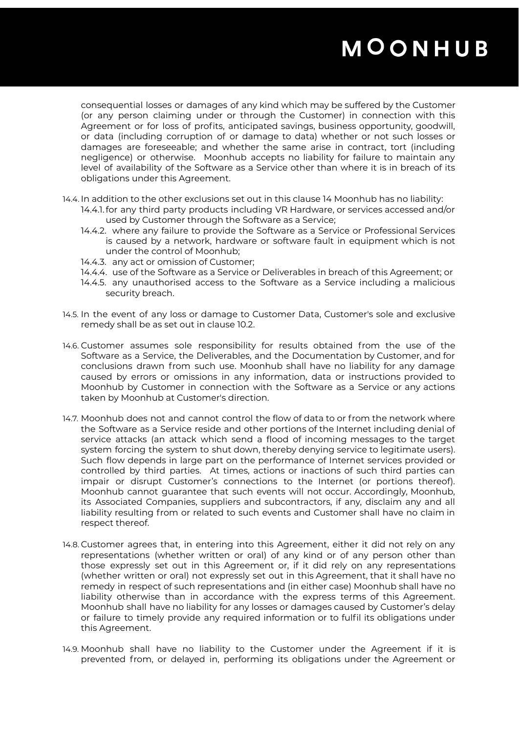consequential losses or damages of any kind which may be suffered by the Customer (or any person claiming under or through the Customer) in connection with this Agreement or for loss of profits, anticipated savings, business opportunity, goodwill, or data (including corruption of or damage to data) whether or not such losses or damages are foreseeable; and whether the same arise in contract, tort (including negligence) or otherwise. Moonhub accepts no liability for failure to maintain any level of availability of the Software as a Service other than where it is in breach of its obligations under this Agreement.

14.4. In addition to the other exclusions set out in this clause 14 Moonhub has no liability:

- 14.4.1.for any third party products including VR Hardware, or services accessed and/or used by Customer through the Software as a Service;
- 14.4.2. where any failure to provide the Software as a Service or Professional Services is caused by a network, hardware or software fault in equipment which is not under the control of Moonhub;
- 14.4.3. any act or omission of Customer;
- 14.4.4. use of the Software as a Service or Deliverables in breach of this Agreement; or
- 14.4.5. any unauthorised access to the Software as a Service including a malicious security breach.
- 14.5. In the event of any loss or damage to Customer Data, Customer's sole and exclusive remedy shall be as set out in clause 10.2.
- 14.6. Customer assumes sole responsibility for results obtained from the use of the Software as a Service, the Deliverables, and the Documentation by Customer, and for conclusions drawn from such use. Moonhub shall have no liability for any damage caused by errors or omissions in any information, data or instructions provided to Moonhub by Customer in connection with the Software as a Service or any actions taken by Moonhub at Customer's direction.
- 14.7. Moonhub does not and cannot control the flow of data to or from the network where the Software as a Service reside and other portions of the Internet including denial of service attacks (an attack which send a flood of incoming messages to the target system forcing the system to shut down, thereby denying service to legitimate users). Such flow depends in large part on the performance of Internet services provided or controlled by third parties. At times, actions or inactions of such third parties can impair or disrupt Customer's connections to the Internet (or portions thereof). Moonhub cannot guarantee that such events will not occur. Accordingly, Moonhub, its Associated Companies, suppliers and subcontractors, if any, disclaim any and all liability resulting from or related to such events and Customer shall have no claim in respect thereof.
- 14.8. Customer agrees that, in entering into this Agreement, either it did not rely on any representations (whether written or oral) of any kind or of any person other than those expressly set out in this Agreement or, if it did rely on any representations (whether written or oral) not expressly set out in this Agreement, that it shall have no remedy in respect of such representations and (in either case) Moonhub shall have no liability otherwise than in accordance with the express terms of this Agreement. Moonhub shall have no liability for any losses or damages caused by Customer's delay or failure to timely provide any required information or to fulfil its obligations under this Agreement.
- 14.9. Moonhub shall have no liability to the Customer under the Agreement if it is prevented from, or delayed in, performing its obligations under the Agreement or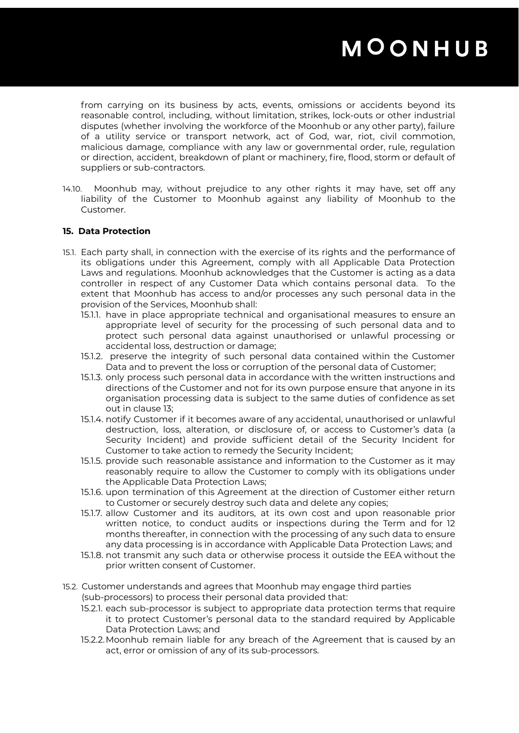from carrying on its business by acts, events, omissions or accidents beyond its reasonable control, including, without limitation, strikes, lock-outs or other industrial disputes (whether involving the workforce of the Moonhub or any other party), failure of a utility service or transport network, act of God, war, riot, civil commotion, malicious damage, compliance with any law or governmental order, rule, regulation or direction, accident, breakdown of plant or machinery, fire, flood, storm or default of suppliers or sub-contractors.

14.10. Moonhub may, without prejudice to any other rights it may have, set off any liability of the Customer to Moonhub against any liability of Moonhub to the Customer.

### **15. Data Protection**

- 15.1. Each party shall, in connection with the exercise of its rights and the performance of its obligations under this Agreement, comply with all Applicable Data Protection Laws and regulations. Moonhub acknowledges that the Customer is acting as a data controller in respect of any Customer Data which contains personal data. To the extent that Moonhub has access to and/or processes any such personal data in the provision of the Services, Moonhub shall:
	- 15.1.1. have in place appropriate technical and organisational measures to ensure an appropriate level of security for the processing of such personal data and to protect such personal data against unauthorised or unlawful processing or accidental loss, destruction or damage;
	- 15.1.2. preserve the integrity of such personal data contained within the Customer Data and to prevent the loss or corruption of the personal data of Customer;
	- 15.1.3. only process such personal data in accordance with the written instructions and directions of the Customer and not for its own purpose ensure that anyone in its organisation processing data is subject to the same duties of confidence as set out in clause 13;
	- 15.1.4. notify Customer if it becomes aware of any accidental, unauthorised or unlawful destruction, loss, alteration, or disclosure of, or access to Customer's data (a Security Incident) and provide sufficient detail of the Security Incident for Customer to take action to remedy the Security Incident;
	- 15.1.5. provide such reasonable assistance and information to the Customer as it may reasonably require to allow the Customer to comply with its obligations under the Applicable Data Protection Laws;
	- 15.1.6. upon termination of this Agreement at the direction of Customer either return to Customer or securely destroy such data and delete any copies;
	- 15.1.7. allow Customer and its auditors, at its own cost and upon reasonable prior written notice, to conduct audits or inspections during the Term and for 12 months thereafter, in connection with the processing of any such data to ensure any data processing is in accordance with Applicable Data Protection Laws; and
	- 15.1.8. not transmit any such data or otherwise process it outside the EEA without the prior written consent of Customer.
- 15.2. Customer understands and agrees that Moonhub may engage third parties
	- (sub-processors) to process their personal data provided that:
	- 15.2.1. each sub-processor is subject to appropriate data protection terms that require it to protect Customer's personal data to the standard required by Applicable Data Protection Laws; and
	- 15.2.2.Moonhub remain liable for any breach of the Agreement that is caused by an act, error or omission of any of its sub-processors.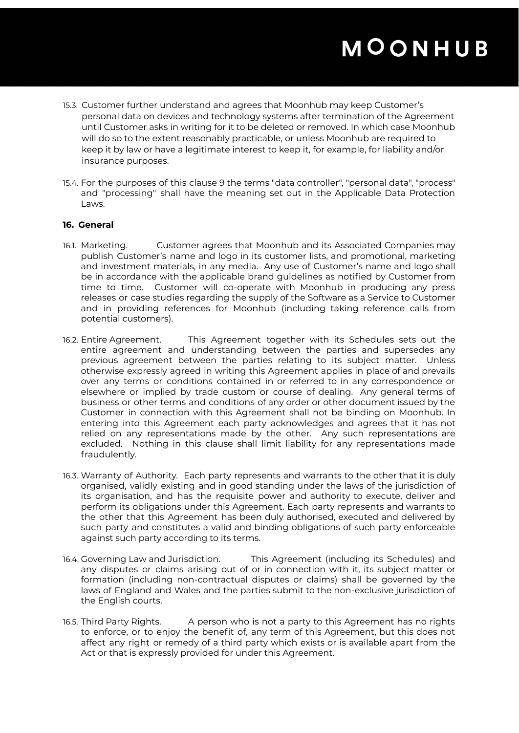- 15.3. Customer further understand and agrees that Moonhub may keep Customer's personal data on devices and technology systems after termination of the Agreement until Customer asks in writing for it to be deleted or removed. In which case Moonhub will do so to the extent reasonably practicable, or unless Moonhub are required to keep it by law or have a legitimate interest to keep it, for example, for liability and/or insurance purposes.
- 15.4. For the purposes of this clause 9 the terms "data controller", "personal data", "process" and "processing" shall have the meaning set out in the Applicable Data Protection Laws.

### **16. General**

- 16.1. Marketing. Customer agrees that Moonhub and its Associated Companies may publish Customer's name and logo in its customer lists, and promotional, marketing and investment materials, in any media. Any use of Customer's name and logo shall be in accordance with the applicable brand guidelines as notified by Customer from time to time. Customer will co-operate with Moonhub in producing any press releases or case studies regarding the supply of the Software as a Service to Customer and in providing references for Moonhub (including taking reference calls from potential customers).
- 16.2. Entire Agreement. This Agreement together with its Schedules sets out the entire agreement and understanding between the parties and supersedes any previous agreement between the parties relating to its subject matter. Unless otherwise expressly agreed in writing this Agreement applies in place of and prevails over any terms or conditions contained in or referred to in any correspondence or elsewhere or implied by trade custom or course of dealing. Any general terms of business or other terms and conditions of any order or other document issued by the Customer in connection with this Agreement shall not be binding on Moonhub. In entering into this Agreement each party acknowledges and agrees that it has not relied on any representations made by the other. Any such representations are excluded. Nothing in this clause shall limit liability for any representations made fraudulently.
- 16.3. Warranty of Authority. Each party represents and warrants to the other that it is duly organised, validly existing and in good standing under the laws of the jurisdiction of its organisation, and has the requisite power and authority to execute, deliver and perform its obligations under this Agreement. Each party represents and warrants to the other that this Agreement has been duly authorised, executed and delivered by such party and constitutes a valid and binding obligations of such party enforceable against such party according to its terms.
- 16.4. Governing Law and Jurisdiction. This Agreement (including its Schedules) and any disputes or claims arising out of or in connection with it, its subject matter or formation (including non-contractual disputes or claims) shall be governed by the laws of England and Wales and the parties submit to the non-exclusive jurisdiction of the English courts.
- 16.5. Third Party Rights. A person who is not a party to this Agreement has no rights to enforce, or to enjoy the benefit of, any term of this Agreement, but this does not affect any right or remedy of a third party which exists or is available apart from the Act or that is expressly provided for under this Agreement.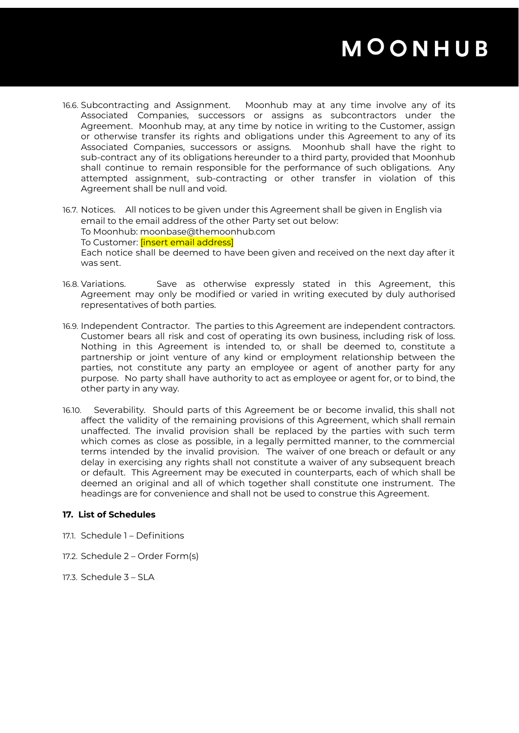- 16.6. Subcontracting and Assignment. Moonhub may at any time involve any of its Associated Companies, successors or assigns as subcontractors under the Agreement. Moonhub may, at any time by notice in writing to the Customer, assign or otherwise transfer its rights and obligations under this Agreement to any of its Associated Companies, successors or assigns. Moonhub shall have the right to sub-contract any of its obligations hereunder to a third party, provided that Moonhub shall continue to remain responsible for the performance of such obligations. Any attempted assignment, sub-contracting or other transfer in violation of this Agreement shall be null and void.
- 16.7. Notices. All notices to be given under this Agreement shall be given in English via email to the email address of the other Party set out below: To Moonhub: moonbase@themoonhub.com To Customer: **[insert email address]** Each notice shall be deemed to have been given and received on the next day after it was sent.
- 16.8. Variations. Save as otherwise expressly stated in this Agreement, this Agreement may only be modified or varied in writing executed by duly authorised representatives of both parties.
- 16.9. Independent Contractor. The parties to this Agreement are independent contractors. Customer bears all risk and cost of operating its own business, including risk of loss. Nothing in this Agreement is intended to, or shall be deemed to, constitute a partnership or joint venture of any kind or employment relationship between the parties, not constitute any party an employee or agent of another party for any purpose. No party shall have authority to act as employee or agent for, or to bind, the other party in any way.
- 16.10. Severability. Should parts of this Agreement be or become invalid, this shall not affect the validity of the remaining provisions of this Agreement, which shall remain unaffected. The invalid provision shall be replaced by the parties with such term which comes as close as possible, in a legally permitted manner, to the commercial terms intended by the invalid provision. The waiver of one breach or default or any delay in exercising any rights shall not constitute a waiver of any subsequent breach or default. This Agreement may be executed in counterparts, each of which shall be deemed an original and all of which together shall constitute one instrument. The headings are for convenience and shall not be used to construe this Agreement.

### **17. List of Schedules**

- 17.1. Schedule 1 Definitions
- 17.2. Schedule 2 Order Form(s)
- 17.3. Schedule 3 SLA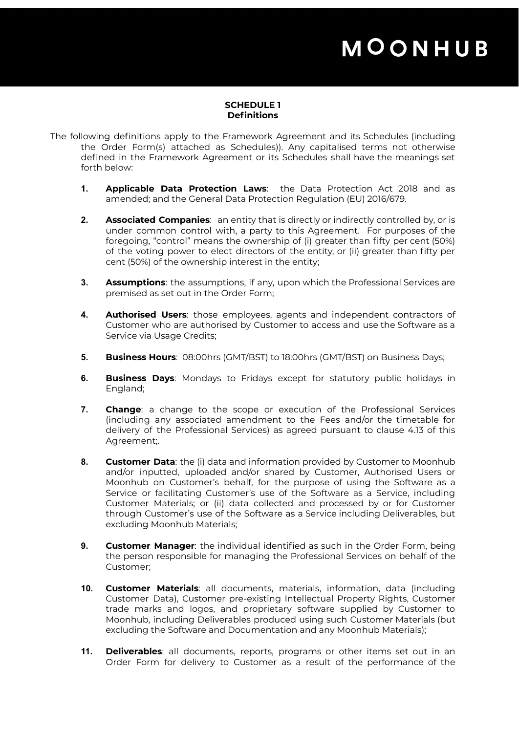### **SCHEDULE 1 Definitions**

- The following definitions apply to the Framework Agreement and its Schedules (including the Order Form(s) attached as Schedules)). Any capitalised terms not otherwise defined in the Framework Agreement or its Schedules shall have the meanings set forth below:
	- **1. Applicable Data Protection Laws**: the Data Protection Act 2018 and as amended; and the General Data Protection Regulation (EU) 2016/679.
	- **2. Associated Companies**: an entity that is directly or indirectly controlled by, or is under common control with, a party to this Agreement. For purposes of the foregoing, "control" means the ownership of (i) greater than fifty per cent (50%) of the voting power to elect directors of the entity, or (ii) greater than fifty per cent (50%) of the ownership interest in the entity;
	- **3. Assumptions**: the assumptions, if any, upon which the Professional Services are premised as set out in the Order Form;
	- **4. Authorised Users**: those employees, agents and independent contractors of Customer who are authorised by Customer to access and use the Software as a Service via Usage Credits;
	- **5. Business Hours**: 08:00hrs (GMT/BST) to 18:00hrs (GMT/BST) on Business Days;
	- **6. Business Days**: Mondays to Fridays except for statutory public holidays in England;
	- **7. Change**: a change to the scope or execution of the Professional Services (including any associated amendment to the Fees and/or the timetable for delivery of the Professional Services) as agreed pursuant to clause 4.13 of this Agreement;.
	- **8. Customer Data**: the (i) data and information provided by Customer to Moonhub and/or inputted, uploaded and/or shared by Customer, Authorised Users or Moonhub on Customer's behalf, for the purpose of using the Software as a Service or facilitating Customer's use of the Software as a Service, including Customer Materials; or (ii) data collected and processed by or for Customer through Customer's use of the Software as a Service including Deliverables, but excluding Moonhub Materials;
	- **9. Customer Manager**: the individual identified as such in the Order Form, being the person responsible for managing the Professional Services on behalf of the Customer;
	- **10. Customer Materials**: all documents, materials, information, data (including Customer Data), Customer pre-existing Intellectual Property Rights, Customer trade marks and logos, and proprietary software supplied by Customer to Moonhub, including Deliverables produced using such Customer Materials (but excluding the Software and Documentation and any Moonhub Materials);
	- **11. Deliverables**: all documents, reports, programs or other items set out in an Order Form for delivery to Customer as a result of the performance of the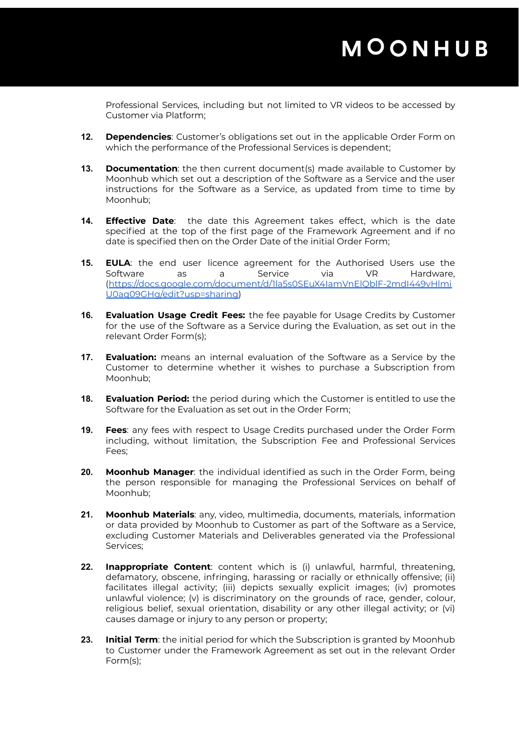Professional Services, including but not limited to VR videos to be accessed by Customer via Platform;

- **12. Dependencies**: Customer's obligations set out in the applicable Order Form on which the performance of the Professional Services is dependent;
- **13. Documentation**: the then current document(s) made available to Customer by Moonhub which set out a description of the Software as a Service and the user instructions for the Software as a Service, as updated from time to time by Moonhub;
- **14. Effective Date**: the date this Agreement takes effect, which is the date specified at the top of the first page of the Framework Agreement and if no date is specified then on the Order Date of the initial Order Form;
- **15. EULA**: the end user licence agreement for the Authorised Users use the Software as a Service via VR Hardware, ([https://docs.google.com/document/d/1la5s0SEuX4IamVnElQblF-2mdI449vHlmi](https://docs.google.com/document/d/1la5s0SEuX4IamVnElQblF-2mdI449vHlmiU0aq09GHg/edit?usp=sharing) [U0aq09GHg/edit?usp=sharing\)](https://docs.google.com/document/d/1la5s0SEuX4IamVnElQblF-2mdI449vHlmiU0aq09GHg/edit?usp=sharing)
- **16. Evaluation Usage Credit Fees:** the fee payable for Usage Credits by Customer for the use of the Software as a Service during the Evaluation, as set out in the relevant Order Form(s);
- **17. Evaluation:** means an internal evaluation of the Software as a Service by the Customer to determine whether it wishes to purchase a Subscription from Moonhub;
- **18. Evaluation Period:** the period during which the Customer is entitled to use the Software for the Evaluation as set out in the Order Form;
- **19. Fees**: any fees with respect to Usage Credits purchased under the Order Form including, without limitation, the Subscription Fee and Professional Services Fees;
- **20. Moonhub Manager**: the individual identified as such in the Order Form, being the person responsible for managing the Professional Services on behalf of Moonhub;
- **21. Moonhub Materials**: any, video, multimedia, documents, materials, information or data provided by Moonhub to Customer as part of the Software as a Service, excluding Customer Materials and Deliverables generated via the Professional Services;
- **22. Inappropriate Content**: content which is (i) unlawful, harmful, threatening, defamatory, obscene, infringing, harassing or racially or ethnically offensive; (ii) facilitates illegal activity; (iii) depicts sexually explicit images; (iv) promotes unlawful violence; (v) is discriminatory on the grounds of race, gender, colour, religious belief, sexual orientation, disability or any other illegal activity; or (vi) causes damage or injury to any person or property;
- **23. Initial Term**: the initial period for which the Subscription is granted by Moonhub to Customer under the Framework Agreement as set out in the relevant Order Form(s);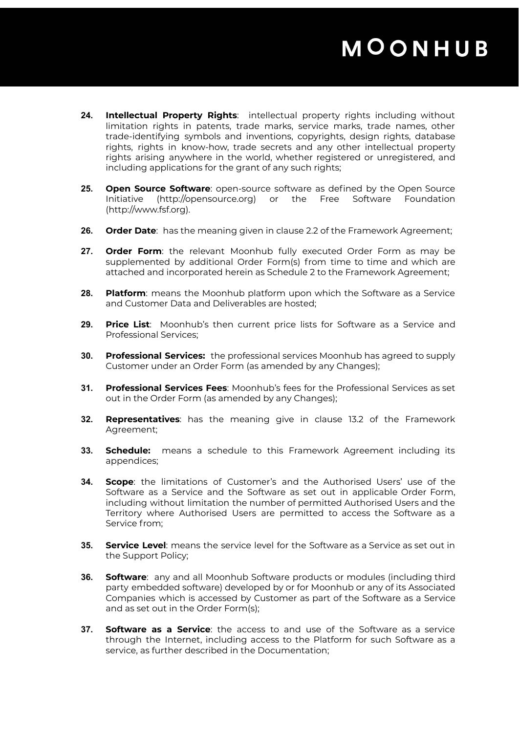- **24. Intellectual Property Rights**: intellectual property rights including without limitation rights in patents, trade marks, service marks, trade names, other trade-identifying symbols and inventions, copyrights, design rights, database rights, rights in know-how, trade secrets and any other intellectual property rights arising anywhere in the world, whether registered or unregistered, and including applications for the grant of any such rights;
- **25. Open Source Software**: open-source software as defined by the Open Source Initiative (http://opensource.org) or the Free Software Foundation (http://www.fsf.org).
- **26. Order Date**: has the meaning given in clause 2.2 of the Framework Agreement;
- **27. Order Form**: the relevant Moonhub fully executed Order Form as may be supplemented by additional Order Form(s) from time to time and which are attached and incorporated herein as Schedule 2 to the Framework Agreement;
- **28. Platform**: means the Moonhub platform upon which the Software as a Service and Customer Data and Deliverables are hosted;
- **29. Price List**: Moonhub's then current price lists for Software as a Service and Professional Services;
- **30. Professional Services:** the professional services Moonhub has agreed to supply Customer under an Order Form (as amended by any Changes);
- **31. Professional Services Fees**: Moonhub's fees for the Professional Services as set out in the Order Form (as amended by any Changes);
- **32. Representatives**: has the meaning give in clause 13.2 of the Framework Agreement;
- **33. Schedule:** means a schedule to this Framework Agreement including its appendices;
- **34. Scope**: the limitations of Customer's and the Authorised Users' use of the Software as a Service and the Software as set out in applicable Order Form, including without limitation the number of permitted Authorised Users and the Territory where Authorised Users are permitted to access the Software as a Service from;
- **35. Service Level**: means the service level for the Software as a Service as set out in the Support Policy;
- **36. Software**: any and all Moonhub Software products or modules (including third party embedded software) developed by or for Moonhub or any of its Associated Companies which is accessed by Customer as part of the Software as a Service and as set out in the Order Form(s);
- **37. Software as a Service**: the access to and use of the Software as a service through the Internet, including access to the Platform for such Software as a service, as further described in the Documentation;